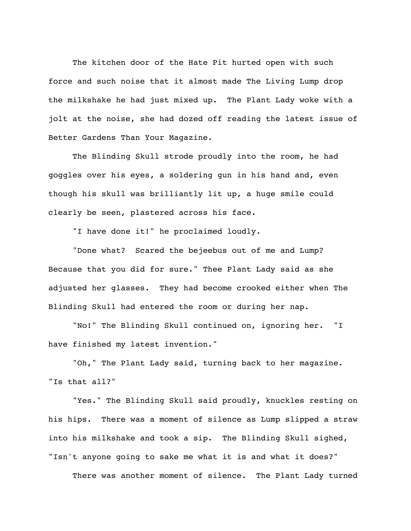The kitchen door of the Hate Pit hurted open with such force and such noise that it almost made The Living Lump drop the milkshake he had just mixed up. The Plant Lady woke with a jolt at the noise, she had dozed off reading the latest issue of Better Gardens Than Your Magazine.

The Blinding Skull strode proudly into the room, he had goggles over his eyes, a soldering gun in his hand and, even though his skull was brilliantly lit up, a huge smile could clearly be seen, plastered across his face.

"I have done it!" he proclaimed loudly.

"Done what? Scared the bejeebus out of me and Lump? Because that you did for sure." Thee Plant Lady said as she adjusted her glasses. They had become crooked either when The Blinding Skull had entered the room or during her nap.

"No!" The Blinding Skull continued on, ignoring her. "I have finished my latest invention."

"Oh," The Plant Lady said, turning back to her magazine. "Is that all?"

"Yes." The Blinding Skull said proudly, knuckles resting on his hips. There was a moment of silence as Lump slipped a straw into his milkshake and took a sip. The Blinding Skull sighed, "Isn't anyone going to sake me what it is and what it does?"

There was another moment of silence. The Plant Lady turned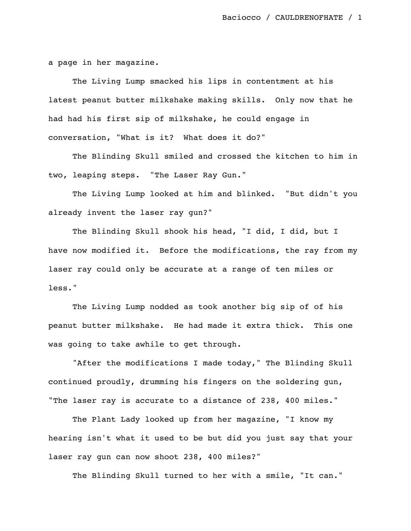a page in her magazine.

The Living Lump smacked his lips in contentment at his latest peanut butter milkshake making skills. Only now that he had had his first sip of milkshake, he could engage in conversation, "What is it? What does it do?"

The Blinding Skull smiled and crossed the kitchen to him in two, leaping steps. "The Laser Ray Gun."

The Living Lump looked at him and blinked. "But didn't you already invent the laser ray gun?"

The Blinding Skull shook his head, "I did, I did, but I have now modified it. Before the modifications, the ray from my laser ray could only be accurate at a range of ten miles or less."

The Living Lump nodded as took another big sip of of his peanut butter milkshake. He had made it extra thick. This one was going to take awhile to get through.

"After the modifications I made today," The Blinding Skull continued proudly, drumming his fingers on the soldering gun, "The laser ray is accurate to a distance of 238, 400 miles."

The Plant Lady looked up from her magazine, "I know my hearing isn't what it used to be but did you just say that your laser ray gun can now shoot 238, 400 miles?"

The Blinding Skull turned to her with a smile, "It can."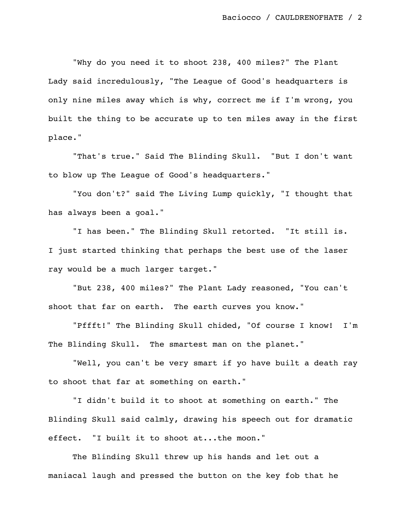"Why do you need it to shoot 238, 400 miles?" The Plant Lady said incredulously, "The League of Good's headquarters is only nine miles away which is why, correct me if I'm wrong, you built the thing to be accurate up to ten miles away in the first place."

"That's true." Said The Blinding Skull. "But I don't want to blow up The League of Good's headquarters."

"You don't?" said The Living Lump quickly, "I thought that has always been a goal."

"I has been." The Blinding Skull retorted. "It still is. I just started thinking that perhaps the best use of the laser ray would be a much larger target."

"But 238, 400 miles?" The Plant Lady reasoned, "You can't shoot that far on earth. The earth curves you know."

"Pffft!" The Blinding Skull chided, "Of course I know! I'm The Blinding Skull. The smartest man on the planet."

"Well, you can't be very smart if yo have built a death ray to shoot that far at something on earth."

"I didn't build it to shoot at something on earth." The Blinding Skull said calmly, drawing his speech out for dramatic effect. "I built it to shoot at...the moon."

The Blinding Skull threw up his hands and let out a maniacal laugh and pressed the button on the key fob that he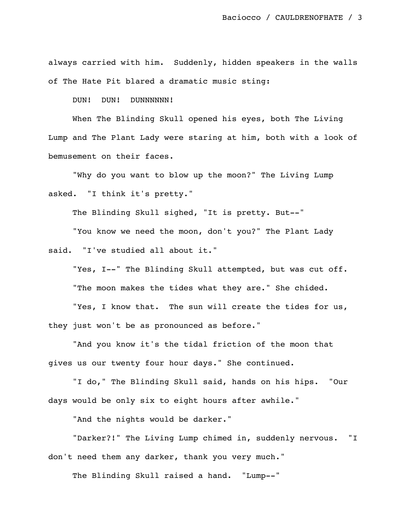always carried with him. Suddenly, hidden speakers in the walls of The Hate Pit blared a dramatic music sting:

DUN! DUN! DUNNNNNN!

When The Blinding Skull opened his eyes, both The Living Lump and The Plant Lady were staring at him, both with a look of bemusement on their faces.

"Why do you want to blow up the moon?" The Living Lump asked. "I think it's pretty."

The Blinding Skull sighed, "It is pretty. But--"

"You know we need the moon, don't you?" The Plant Lady said. "I've studied all about it."

"Yes, I--" The Blinding Skull attempted, but was cut off. "The moon makes the tides what they are." She chided. "Yes, I know that. The sun will create the tides for us,

they just won't be as pronounced as before."

"And you know it's the tidal friction of the moon that gives us our twenty four hour days." She continued.

"I do," The Blinding Skull said, hands on his hips. "Our days would be only six to eight hours after awhile."

"And the nights would be darker."

"Darker?!" The Living Lump chimed in, suddenly nervous. "I don't need them any darker, thank you very much."

The Blinding Skull raised a hand. "Lump--"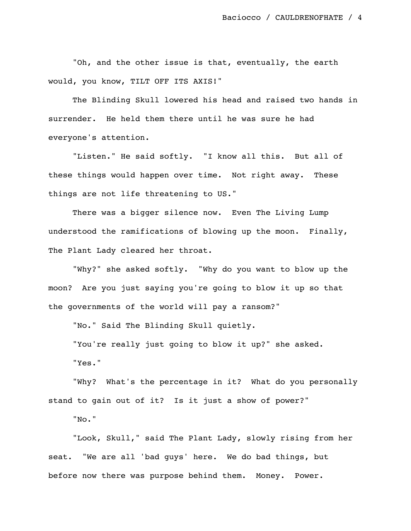"Oh, and the other issue is that, eventually, the earth would, you know, TILT OFF ITS AXIS!"

The Blinding Skull lowered his head and raised two hands in surrender. He held them there until he was sure he had everyone's attention.

"Listen." He said softly. "I know all this. But all of these things would happen over time. Not right away. These things are not life threatening to US."

There was a bigger silence now. Even The Living Lump understood the ramifications of blowing up the moon. Finally, The Plant Lady cleared her throat.

"Why?" she asked softly. "Why do you want to blow up the moon? Are you just saying you're going to blow it up so that the governments of the world will pay a ransom?"

"No." Said The Blinding Skull quietly.

"You're really just going to blow it up?" she asked.

"Yes."

"Why? What's the percentage in it? What do you personally stand to gain out of it? Is it just a show of power?"

"No."

"Look, Skull," said The Plant Lady, slowly rising from her seat. "We are all 'bad guys' here. We do bad things, but before now there was purpose behind them. Money. Power.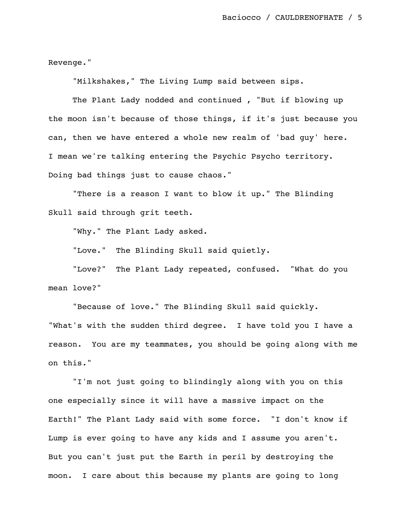Revenge."

"Milkshakes," The Living Lump said between sips.

The Plant Lady nodded and continued , "But if blowing up the moon isn't because of those things, if it's just because you can, then we have entered a whole new realm of 'bad guy' here. I mean we're talking entering the Psychic Psycho territory. Doing bad things just to cause chaos."

"There is a reason I want to blow it up." The Blinding Skull said through grit teeth.

"Why." The Plant Lady asked.

"Love." The Blinding Skull said quietly.

"Love?" The Plant Lady repeated, confused. "What do you mean love?"

"Because of love." The Blinding Skull said quickly. "What's with the sudden third degree. I have told you I have a reason. You are my teammates, you should be going along with me on this."

"I'm not just going to blindingly along with you on this one especially since it will have a massive impact on the Earth!" The Plant Lady said with some force. "I don't know if Lump is ever going to have any kids and I assume you aren't. But you can't just put the Earth in peril by destroying the moon. I care about this because my plants are going to long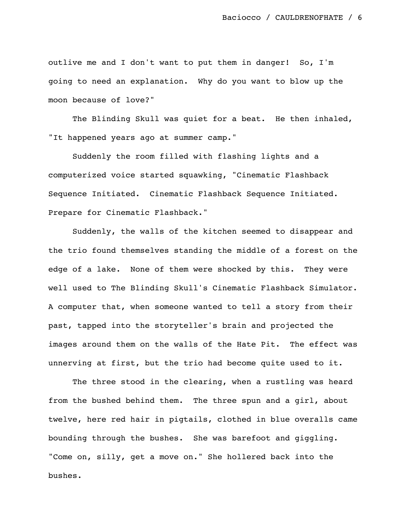outlive me and I don't want to put them in danger! So, I'm going to need an explanation. Why do you want to blow up the moon because of love?"

The Blinding Skull was quiet for a beat. He then inhaled, "It happened years ago at summer camp."

Suddenly the room filled with flashing lights and a computerized voice started squawking, "Cinematic Flashback Sequence Initiated. Cinematic Flashback Sequence Initiated. Prepare for Cinematic Flashback."

Suddenly, the walls of the kitchen seemed to disappear and the trio found themselves standing the middle of a forest on the edge of a lake. None of them were shocked by this. They were well used to The Blinding Skull's Cinematic Flashback Simulator. A computer that, when someone wanted to tell a story from their past, tapped into the storyteller's brain and projected the images around them on the walls of the Hate Pit. The effect was unnerving at first, but the trio had become quite used to it.

The three stood in the clearing, when a rustling was heard from the bushed behind them. The three spun and a girl, about twelve, here red hair in pigtails, clothed in blue overalls came bounding through the bushes. She was barefoot and giggling. "Come on, silly, get a move on." She hollered back into the bushes.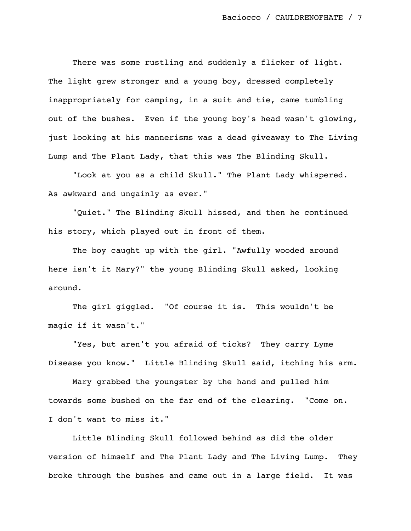There was some rustling and suddenly a flicker of light. The light grew stronger and a young boy, dressed completely inappropriately for camping, in a suit and tie, came tumbling out of the bushes. Even if the young boy's head wasn't glowing, just looking at his mannerisms was a dead giveaway to The Living Lump and The Plant Lady, that this was The Blinding Skull.

"Look at you as a child Skull." The Plant Lady whispered. As awkward and ungainly as ever."

"Quiet." The Blinding Skull hissed, and then he continued his story, which played out in front of them.

The boy caught up with the girl. "Awfully wooded around here isn't it Mary?" the young Blinding Skull asked, looking around.

The girl giggled. "Of course it is. This wouldn't be magic if it wasn't."

"Yes, but aren't you afraid of ticks? They carry Lyme Disease you know." Little Blinding Skull said, itching his arm.

Mary grabbed the youngster by the hand and pulled him towards some bushed on the far end of the clearing. "Come on. I don't want to miss it."

Little Blinding Skull followed behind as did the older version of himself and The Plant Lady and The Living Lump. They broke through the bushes and came out in a large field. It was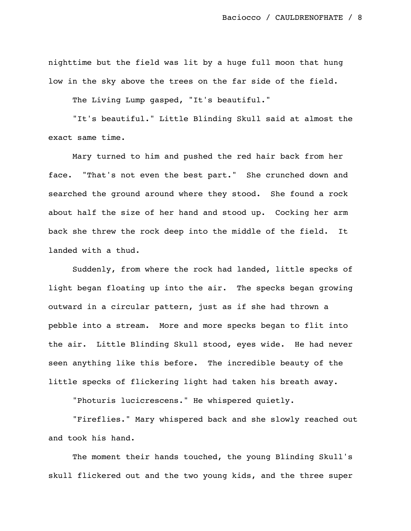nighttime but the field was lit by a huge full moon that hung low in the sky above the trees on the far side of the field.

The Living Lump gasped, "It's beautiful."

"It's beautiful." Little Blinding Skull said at almost the exact same time.

Mary turned to him and pushed the red hair back from her face. "That's not even the best part." She crunched down and searched the ground around where they stood. She found a rock about half the size of her hand and stood up. Cocking her arm back she threw the rock deep into the middle of the field. It landed with a thud.

Suddenly, from where the rock had landed, little specks of light began floating up into the air. The specks began growing outward in a circular pattern, just as if she had thrown a pebble into a stream. More and more specks began to flit into the air. Little Blinding Skull stood, eyes wide. He had never seen anything like this before. The incredible beauty of the little specks of flickering light had taken his breath away.

"Photuris lucicrescens." He whispered quietly.

"Fireflies." Mary whispered back and she slowly reached out and took his hand.

The moment their hands touched, the young Blinding Skull's skull flickered out and the two young kids, and the three super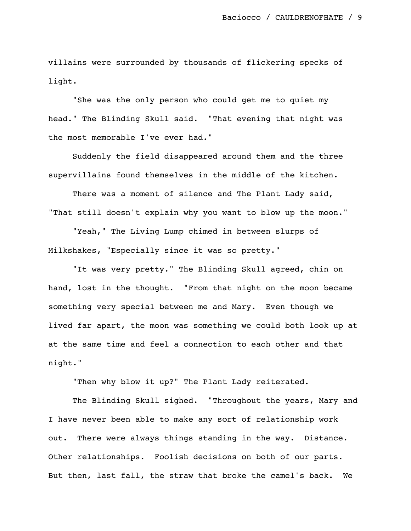villains were surrounded by thousands of flickering specks of light.

"She was the only person who could get me to quiet my head." The Blinding Skull said. "That evening that night was the most memorable I've ever had."

Suddenly the field disappeared around them and the three supervillains found themselves in the middle of the kitchen.

There was a moment of silence and The Plant Lady said, "That still doesn't explain why you want to blow up the moon."

"Yeah," The Living Lump chimed in between slurps of Milkshakes, "Especially since it was so pretty."

"It was very pretty." The Blinding Skull agreed, chin on hand, lost in the thought. "From that night on the moon became something very special between me and Mary. Even though we lived far apart, the moon was something we could both look up at at the same time and feel a connection to each other and that night."

"Then why blow it up?" The Plant Lady reiterated.

The Blinding Skull sighed. "Throughout the years, Mary and I have never been able to make any sort of relationship work out. There were always things standing in the way. Distance. Other relationships. Foolish decisions on both of our parts. But then, last fall, the straw that broke the camel's back. We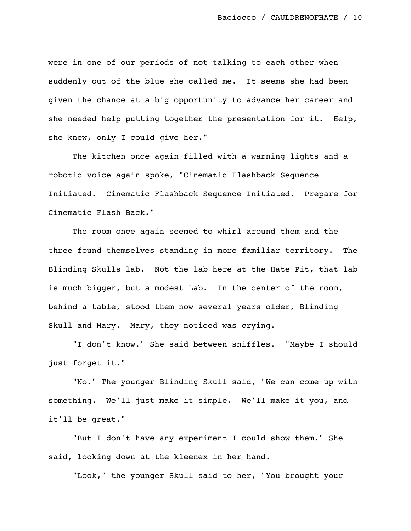were in one of our periods of not talking to each other when suddenly out of the blue she called me. It seems she had been given the chance at a big opportunity to advance her career and she needed help putting together the presentation for it. Help, she knew, only I could give her."

The kitchen once again filled with a warning lights and a robotic voice again spoke, "Cinematic Flashback Sequence Initiated. Cinematic Flashback Sequence Initiated. Prepare for Cinematic Flash Back."

The room once again seemed to whirl around them and the three found themselves standing in more familiar territory. The Blinding Skulls lab. Not the lab here at the Hate Pit, that lab is much bigger, but a modest Lab. In the center of the room, behind a table, stood them now several years older, Blinding Skull and Mary. Mary, they noticed was crying.

"I don't know." She said between sniffles. "Maybe I should just forget it."

"No." The younger Blinding Skull said, "We can come up with something. We'll just make it simple. We'll make it you, and it'll be great."

"But I don't have any experiment I could show them." She said, looking down at the kleenex in her hand.

"Look," the younger Skull said to her, "You brought your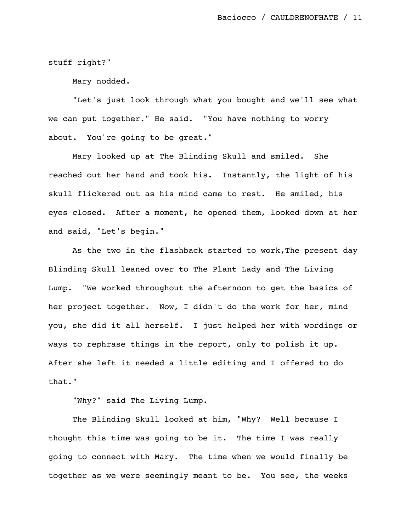stuff right?"

Mary nodded.

"Let's just look through what you bought and we'll see what we can put together." He said. "You have nothing to worry about. You're going to be great."

Mary looked up at The Blinding Skull and smiled. She reached out her hand and took his. Instantly, the light of his skull flickered out as his mind came to rest. He smiled, his eyes closed. After a moment, he opened them, looked down at her and said, "Let's begin."

As the two in the flashback started to work, The present day Blinding Skull leaned over to The Plant Lady and The Living Lump. "We worked throughout the afternoon to get the basics of her project together. Now, I didn't do the work for her, mind you, she did it all herself. I just helped her with wordings or ways to rephrase things in the report, only to polish it up. After she left it needed a little editing and I offered to do that."

"Why?" said The Living Lump.

The Blinding Skull looked at him, "Why? Well because I thought this time was going to be it. The time I was really going to connect with Mary. The time when we would finally be together as we were seemingly meant to be. You see, the weeks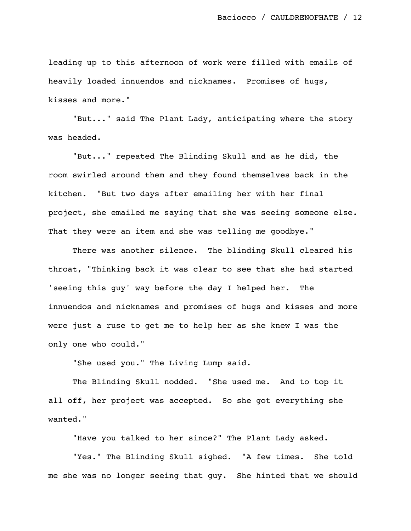leading up to this afternoon of work were filled with emails of heavily loaded innuendos and nicknames. Promises of hugs, kisses and more."

"But..." said The Plant Lady, anticipating where the story was headed.

"But..." repeated The Blinding Skull and as he did, the room swirled around them and they found themselves back in the kitchen. "But two days after emailing her with her final project, she emailed me saying that she was seeing someone else. That they were an item and she was telling me goodbye."

There was another silence. The blinding Skull cleared his throat, "Thinking back it was clear to see that she had started 'seeing this guy' way before the day I helped her. The innuendos and nicknames and promises of hugs and kisses and more were just a ruse to get me to help her as she knew I was the only one who could."

"She used you." The Living Lump said.

The Blinding Skull nodded. "She used me. And to top it all off, her project was accepted. So she got everything she wanted."

"Have you talked to her since?" The Plant Lady asked.

"Yes." The Blinding Skull sighed. "A few times. She told me she was no longer seeing that guy. She hinted that we should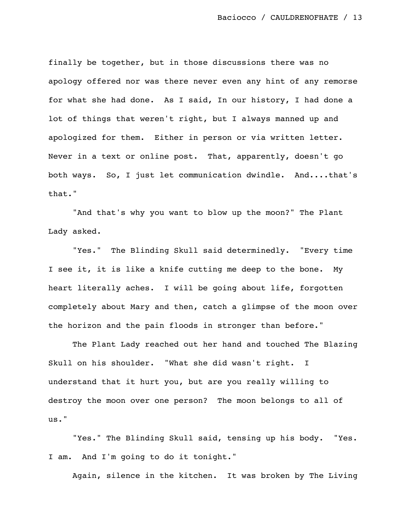finally be together, but in those discussions there was no apology offered nor was there never even any hint of any remorse for what she had done. As I said, In our history, I had done a lot of things that weren't right, but I always manned up and apologized for them. Either in person or via written letter. Never in a text or online post. That, apparently, doesn't go both ways. So, I just let communication dwindle. And....that's that."

"And that's why you want to blow up the moon?" The Plant Lady asked.

"Yes." The Blinding Skull said determinedly. "Every time I see it, it is like a knife cutting me deep to the bone. My heart literally aches. I will be going about life, forgotten completely about Mary and then, catch a glimpse of the moon over the horizon and the pain floods in stronger than before."

The Plant Lady reached out her hand and touched The Blazing Skull on his shoulder. "What she did wasn't right. I understand that it hurt you, but are you really willing to destroy the moon over one person? The moon belongs to all of us."

"Yes." The Blinding Skull said, tensing up his body. "Yes. I am. And I'm going to do it tonight."

Again, silence in the kitchen. It was broken by The Living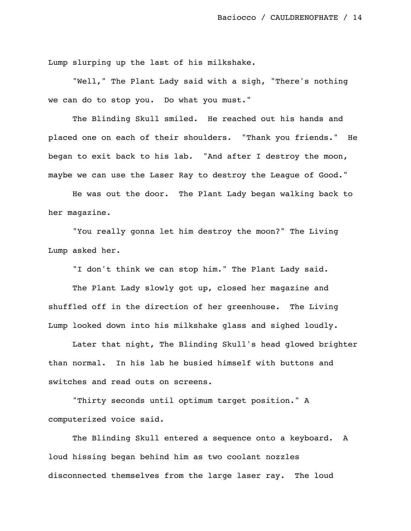Lump slurping up the last of his milkshake.

"Well," The Plant Lady said with a sigh, "There's nothing we can do to stop you. Do what you must."

The Blinding Skull smiled. He reached out his hands and placed one on each of their shoulders. "Thank you friends." He began to exit back to his lab. "And after I destroy the moon, maybe we can use the Laser Ray to destroy the League of Good."

He was out the door. The Plant Lady began walking back to her magazine.

"You really gonna let him destroy the moon?" The Living Lump asked her.

"I don't think we can stop him." The Plant Lady said.

The Plant Lady slowly got up, closed her magazine and shuffled off in the direction of her greenhouse. The Living Lump looked down into his milkshake glass and sighed loudly.

Later that night, The Blinding Skull's head glowed brighter than normal. In his lab he busied himself with buttons and switches and read outs on screens.

"Thirty seconds until optimum target position." A computerized voice said.

The Blinding Skull entered a sequence onto a keyboard. A loud hissing began behind him as two coolant nozzles disconnected themselves from the large laser ray. The loud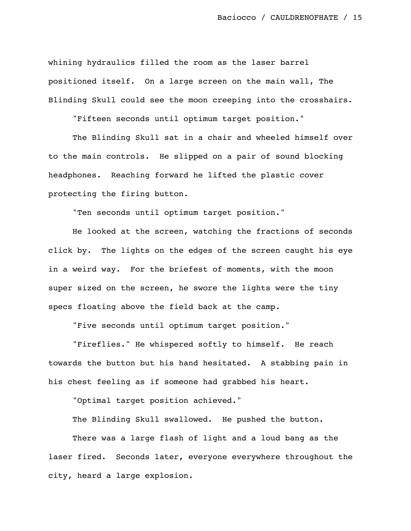whining hydraulics filled the room as the laser barrel positioned itself. On a large screen on the main wall, The Blinding Skull could see the moon creeping into the crosshairs.

"Fifteen seconds until optimum target position."

The Blinding Skull sat in a chair and wheeled himself over to the main controls. He slipped on a pair of sound blocking headphones. Reaching forward he lifted the plastic cover protecting the firing button.

"Ten seconds until optimum target position."

He looked at the screen, watching the fractions of seconds click by. The lights on the edges of the screen caught his eye in a weird way. For the briefest of moments, with the moon super sized on the screen, he swore the lights were the tiny specs floating above the field back at the camp.

"Five seconds until optimum target position."

"Fireflies." He whispered softly to himself. He reach towards the button but his hand hesitated. A stabbing pain in his chest feeling as if someone had grabbed his heart.

"Optimal target position achieved."

The Blinding Skull swallowed. He pushed the button.

There was a large flash of light and a loud bang as the laser fired. Seconds later, everyone everywhere throughout the city, heard a large explosion.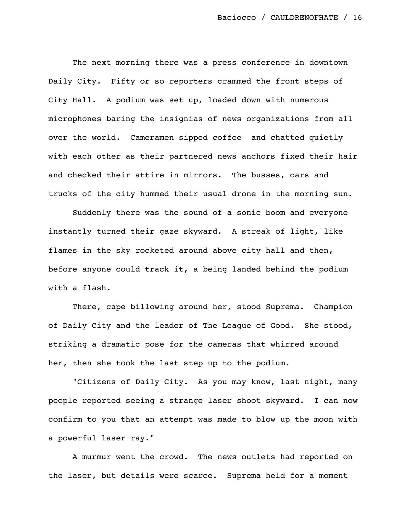The next morning there was a press conference in downtown Daily City. Fifty or so reporters crammed the front steps of City Hall. A podium was set up, loaded down with numerous microphones baring the insignias of news organizations from all over the world. Cameramen sipped coffee and chatted quietly with each other as their partnered news anchors fixed their hair and checked their attire in mirrors. The busses, cars and trucks of the city hummed their usual drone in the morning sun.

Suddenly there was the sound of a sonic boom and everyone instantly turned their gaze skyward. A streak of light, like flames in the sky rocketed around above city hall and then, before anyone could track it, a being landed behind the podium with a flash.

There, cape billowing around her, stood Suprema. Champion of Daily City and the leader of The League of Good. She stood, striking a dramatic pose for the cameras that whirred around her, then she took the last step up to the podium.

"Citizens of Daily City. As you may know, last night, many people reported seeing a strange laser shoot skyward. I can now confirm to you that an attempt was made to blow up the moon with a powerful laser ray."

A murmur went the crowd. The news outlets had reported on the laser, but details were scarce. Suprema held for a moment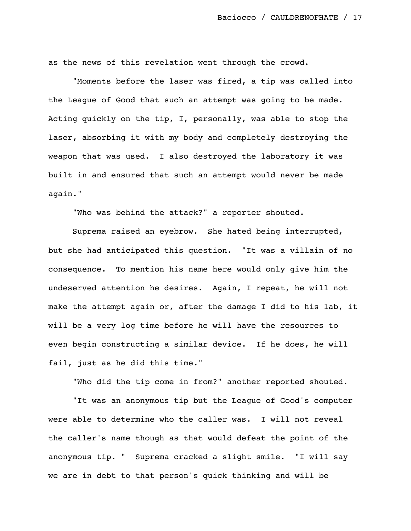as the news of this revelation went through the crowd.

"Moments before the laser was fired, a tip was called into the League of Good that such an attempt was going to be made. Acting quickly on the tip, I, personally, was able to stop the laser, absorbing it with my body and completely destroying the weapon that was used. I also destroyed the laboratory it was built in and ensured that such an attempt would never be made again."

"Who was behind the attack?" a reporter shouted.

Suprema raised an eyebrow. She hated being interrupted, but she had anticipated this question. "It was a villain of no consequence. To mention his name here would only give him the undeserved attention he desires. Again, I repeat, he will not make the attempt again or, after the damage I did to his lab, it will be a very log time before he will have the resources to even begin constructing a similar device. If he does, he will fail, just as he did this time."

"Who did the tip come in from?" another reported shouted.

"It was an anonymous tip but the League of Good's computer were able to determine who the caller was. I will not reveal the caller's name though as that would defeat the point of the anonymous tip. " Suprema cracked a slight smile. "I will say we are in debt to that person's quick thinking and will be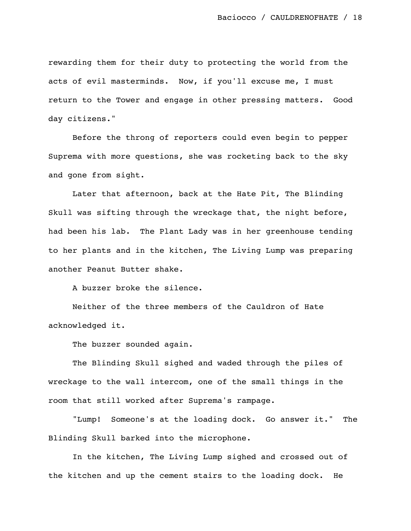rewarding them for their duty to protecting the world from the acts of evil masterminds. Now, if you'll excuse me, I must return to the Tower and engage in other pressing matters. Good day citizens."

Before the throng of reporters could even begin to pepper Suprema with more questions, she was rocketing back to the sky and gone from sight.

Later that afternoon, back at the Hate Pit, The Blinding Skull was sifting through the wreckage that, the night before, had been his lab. The Plant Lady was in her greenhouse tending to her plants and in the kitchen, The Living Lump was preparing another Peanut Butter shake.

A buzzer broke the silence.

Neither of the three members of the Cauldron of Hate acknowledged it.

The buzzer sounded again.

The Blinding Skull sighed and waded through the piles of wreckage to the wall intercom, one of the small things in the room that still worked after Suprema's rampage.

"Lump! Someone's at the loading dock. Go answer it." The Blinding Skull barked into the microphone.

In the kitchen, The Living Lump sighed and crossed out of the kitchen and up the cement stairs to the loading dock. He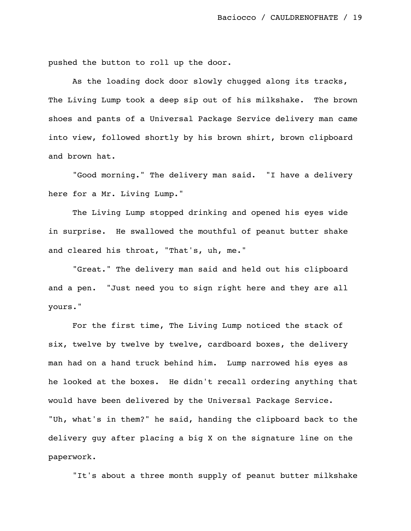pushed the button to roll up the door.

As the loading dock door slowly chugged along its tracks, The Living Lump took a deep sip out of his milkshake. The brown shoes and pants of a Universal Package Service delivery man came into view, followed shortly by his brown shirt, brown clipboard and brown hat.

"Good morning." The delivery man said. "I have a delivery here for a Mr. Living Lump."

The Living Lump stopped drinking and opened his eyes wide in surprise. He swallowed the mouthful of peanut butter shake and cleared his throat, "That's, uh, me."

"Great." The delivery man said and held out his clipboard and a pen. "Just need you to sign right here and they are all yours."

For the first time, The Living Lump noticed the stack of six, twelve by twelve by twelve, cardboard boxes, the delivery man had on a hand truck behind him. Lump narrowed his eyes as he looked at the boxes. He didn't recall ordering anything that would have been delivered by the Universal Package Service. "Uh, what's in them?" he said, handing the clipboard back to the delivery guy after placing a big X on the signature line on the paperwork.

"It's about a three month supply of peanut butter milkshake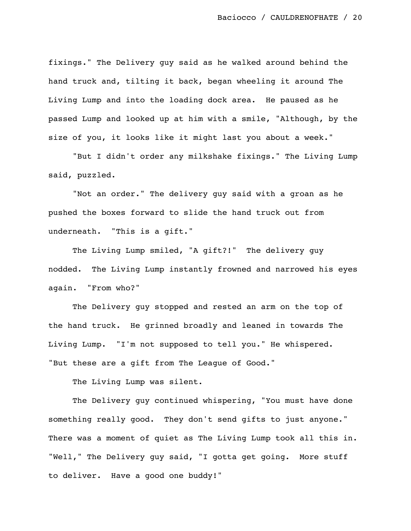fixings." The Delivery guy said as he walked around behind the hand truck and, tilting it back, began wheeling it around The Living Lump and into the loading dock area. He paused as he passed Lump and looked up at him with a smile, "Although, by the size of you, it looks like it might last you about a week."

"But I didn't order any milkshake fixings." The Living Lump said, puzzled.

"Not an order." The delivery guy said with a groan as he pushed the boxes forward to slide the hand truck out from underneath. "This is a gift."

The Living Lump smiled, "A gift?!" The delivery guy nodded. The Living Lump instantly frowned and narrowed his eyes again. "From who?"

The Delivery guy stopped and rested an arm on the top of the hand truck. He grinned broadly and leaned in towards The Living Lump. "I'm not supposed to tell you." He whispered. "But these are a gift from The League of Good."

The Living Lump was silent.

The Delivery guy continued whispering, "You must have done something really good. They don't send gifts to just anyone." There was a moment of quiet as The Living Lump took all this in. "Well," The Delivery guy said, "I gotta get going. More stuff to deliver. Have a good one buddy!"